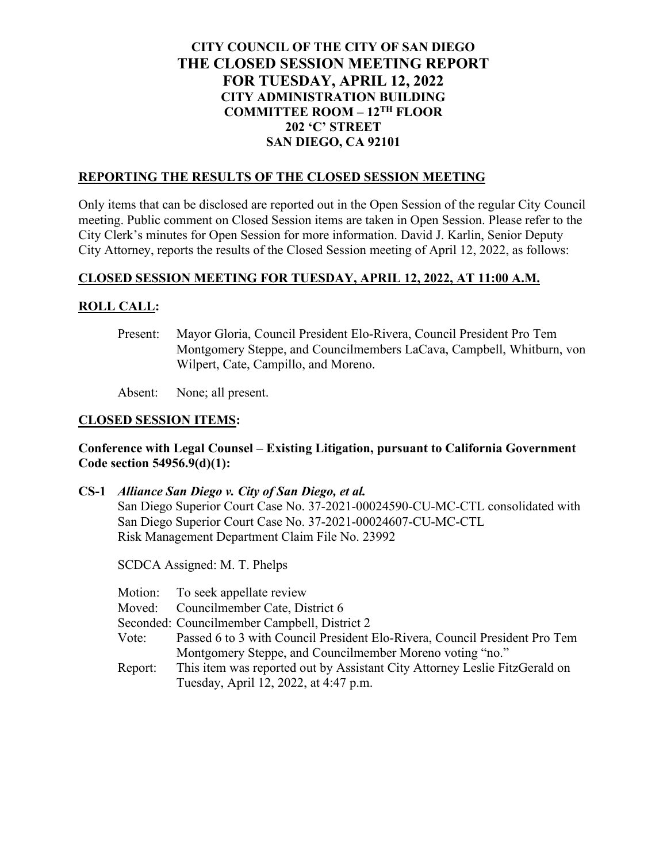## **CITY COUNCIL OF THE CITY OF SAN DIEGO THE CLOSED SESSION MEETING REPORT FOR TUESDAY, APRIL 12, 2022 CITY ADMINISTRATION BUILDING COMMITTEE ROOM – 12TH FLOOR 202 'C' STREET SAN DIEGO, CA 92101**

### **REPORTING THE RESULTS OF THE CLOSED SESSION MEETING**

Only items that can be disclosed are reported out in the Open Session of the regular City Council meeting. Public comment on Closed Session items are taken in Open Session. Please refer to the City Clerk's minutes for Open Session for more information. David J. Karlin, Senior Deputy City Attorney, reports the results of the Closed Session meeting of April 12, 2022, as follows:

### **CLOSED SESSION MEETING FOR TUESDAY, APRIL 12, 2022, AT 11:00 A.M.**

### **ROLL CALL:**

Present: Mayor Gloria, Council President Elo-Rivera, Council President Pro Tem Montgomery Steppe, and Councilmembers LaCava, Campbell, Whitburn, von Wilpert, Cate, Campillo, and Moreno.

Absent: None; all present.

### **CLOSED SESSION ITEMS:**

### **Conference with Legal Counsel – Existing Litigation, pursuant to California Government Code section 54956.9(d)(1):**

# **CS-1** *Alliance San Diego v. City of San Diego, et al.* San Diego Superior Court Case No. 37-2021-00024590-CU-MC-CTL consolidated with San Diego Superior Court Case No. 37-2021-00024607-CU-MC-CTL Risk Management Department Claim File No. 23992

SCDCA Assigned: M. T. Phelps

| Motion: | To seek appellate review |
|---------|--------------------------|
|         |                          |

- Moved: Councilmember Cate, District 6
- Seconded: Councilmember Campbell, District 2
- Vote: Passed 6 to 3 with Council President Elo-Rivera, Council President Pro Tem Montgomery Steppe, and Councilmember Moreno voting "no."
- Report: This item was reported out by Assistant City Attorney Leslie FitzGerald on Tuesday, April 12, 2022, at 4:47 p.m.